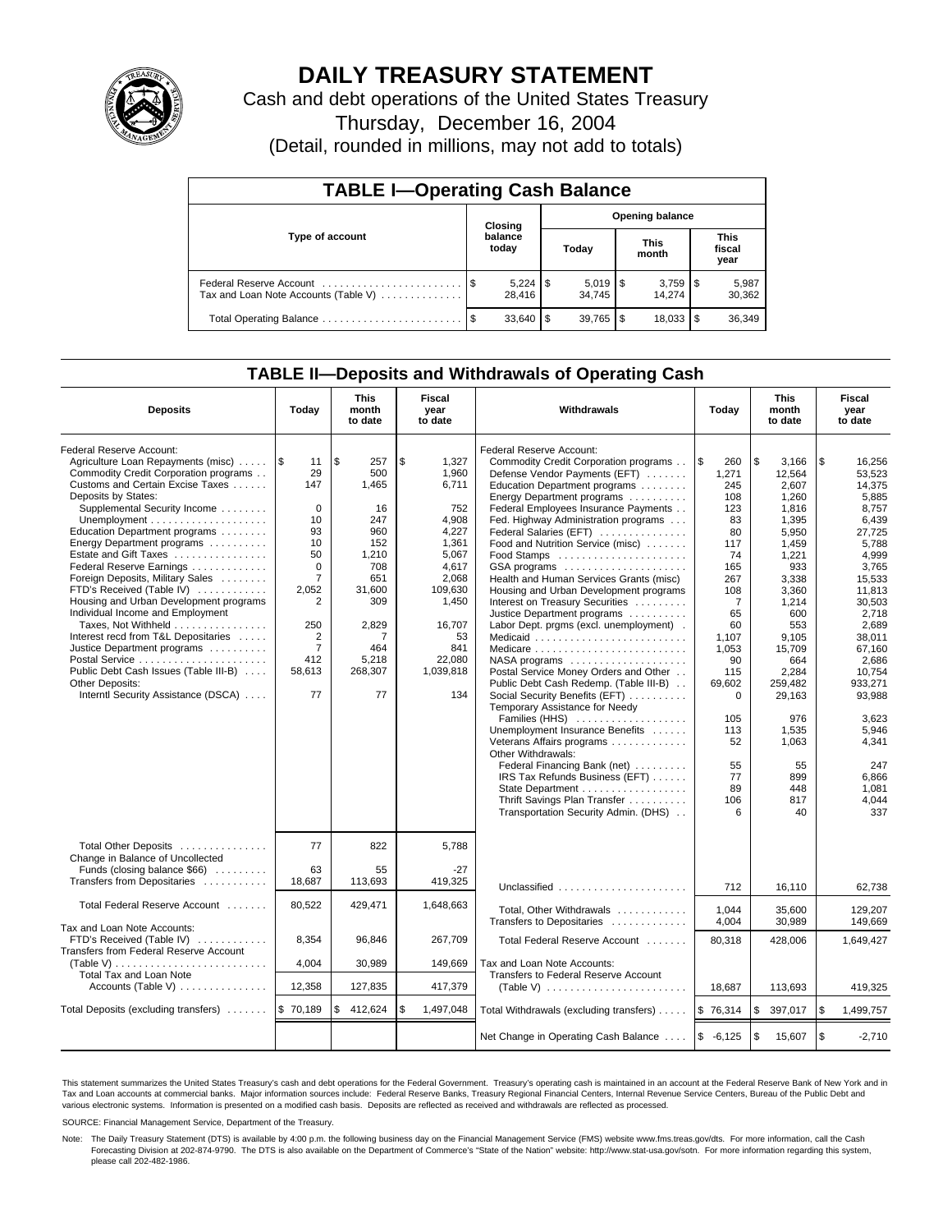

# **DAILY TREASURY STATEMENT**

Cash and debt operations of the United States Treasury

Thursday, December 16, 2004

(Detail, rounded in millions, may not add to totals)

| <b>TABLE I-Operating Cash Balance</b>                           |  |                                   |   |                              |  |                      |                               |                 |  |  |
|-----------------------------------------------------------------|--|-----------------------------------|---|------------------------------|--|----------------------|-------------------------------|-----------------|--|--|
|                                                                 |  | <b>Opening balance</b><br>Closing |   |                              |  |                      |                               |                 |  |  |
| Type of account                                                 |  | balance<br>today                  |   | Today                        |  | <b>This</b><br>month | <b>This</b><br>fiscal<br>year |                 |  |  |
| Federal Reserve Account<br>Tax and Loan Note Accounts (Table V) |  | 28.416                            |   | $5,019$ $\sqrt{5}$<br>34.745 |  | 14.274               |                               | 5,987<br>30,362 |  |  |
| Total Operating Balance                                         |  | 33,640                            | S | $39.765$ \$                  |  | 18.033               |                               | 36,349          |  |  |

## **TABLE II—Deposits and Withdrawals of Operating Cash**

| <b>Deposits</b>                                                                                                                                                                                                                                                                                                                                                                                                                                                                                                                                                                                                                                                       | Today                                                                                                                                                                       | <b>This</b><br>month<br>to date                                                                                                               | Fiscal<br>Withdrawals<br>year<br>to date                                                                                                                            |                                                                                                                                                                                                                                                                                                                                                                                                                                                                                                                                                                                                                                                                                                                                                                                                                                                                                                                                                                                              | Today                                                                                                                                                                                                                       | <b>This</b><br>month<br>to date                                                                                                                                                                                                                        | Fiscal<br>year<br>to date                                                                                                                                                                                                                                                        |
|-----------------------------------------------------------------------------------------------------------------------------------------------------------------------------------------------------------------------------------------------------------------------------------------------------------------------------------------------------------------------------------------------------------------------------------------------------------------------------------------------------------------------------------------------------------------------------------------------------------------------------------------------------------------------|-----------------------------------------------------------------------------------------------------------------------------------------------------------------------------|-----------------------------------------------------------------------------------------------------------------------------------------------|---------------------------------------------------------------------------------------------------------------------------------------------------------------------|----------------------------------------------------------------------------------------------------------------------------------------------------------------------------------------------------------------------------------------------------------------------------------------------------------------------------------------------------------------------------------------------------------------------------------------------------------------------------------------------------------------------------------------------------------------------------------------------------------------------------------------------------------------------------------------------------------------------------------------------------------------------------------------------------------------------------------------------------------------------------------------------------------------------------------------------------------------------------------------------|-----------------------------------------------------------------------------------------------------------------------------------------------------------------------------------------------------------------------------|--------------------------------------------------------------------------------------------------------------------------------------------------------------------------------------------------------------------------------------------------------|----------------------------------------------------------------------------------------------------------------------------------------------------------------------------------------------------------------------------------------------------------------------------------|
| Federal Reserve Account:<br>Agriculture Loan Repayments (misc)<br>Commodity Credit Corporation programs<br>Customs and Certain Excise Taxes<br>Deposits by States:<br>Supplemental Security Income<br>Education Department programs<br>Energy Department programs<br>Estate and Gift Taxes<br>Federal Reserve Earnings<br>Foreign Deposits, Military Sales<br>FTD's Received (Table IV)<br>Housing and Urban Development programs<br>Individual Income and Employment<br>Taxes, Not Withheld<br>Interest recd from T&L Depositaries<br>Justice Department programs<br>Public Debt Cash Issues (Table III-B)<br>Other Deposits:<br>Interntl Security Assistance (DSCA) | 1\$<br>11<br>29<br>147<br>$\Omega$<br>10<br>93<br>10<br>50<br>$\mathbf 0$<br>$\overline{7}$<br>2.052<br>2<br>250<br>$\overline{2}$<br>$\overline{7}$<br>412<br>58.613<br>77 | l \$<br>257<br>500<br>1.465<br>16<br>247<br>960<br>152<br>1,210<br>708<br>651<br>31.600<br>309<br>2,829<br>7<br>464<br>5,218<br>268,307<br>77 | \$<br>1,327<br>1,960<br>6,711<br>752<br>4.908<br>4,227<br>1,361<br>5,067<br>4,617<br>2.068<br>109.630<br>1,450<br>16,707<br>53<br>841<br>22,080<br>1.039.818<br>134 | Federal Reserve Account:<br>Commodity Credit Corporation programs<br>Defense Vendor Payments (EFT)<br>Education Department programs<br>Energy Department programs<br>Federal Employees Insurance Payments<br>Fed. Highway Administration programs<br>Federal Salaries (EFT)<br>Food and Nutrition Service (misc)<br>GSA programs<br>Health and Human Services Grants (misc)<br>Housing and Urban Development programs<br>Interest on Treasury Securities<br>Justice Department programs<br>Labor Dept. prgms (excl. unemployment).<br>Medicaid<br>NASA programs<br>Postal Service Money Orders and Other<br>Public Debt Cash Redemp. (Table III-B)<br>Social Security Benefits (EFT)<br>Temporary Assistance for Needy<br>Families (HHS)<br>Unemployment Insurance Benefits<br>Veterans Affairs programs<br>Other Withdrawals:<br>Federal Financing Bank (net)<br>IRS Tax Refunds Business (EFT)<br>State Department<br>Thrift Savings Plan Transfer<br>Transportation Security Admin. (DHS) | l\$<br>260<br>1,271<br>245<br>108<br>123<br>83<br>80<br>117<br>74<br>165<br>267<br>108<br>$\overline{7}$<br>65<br>60<br>1,107<br>1,053<br>90<br>115<br>69,602<br>$\Omega$<br>105<br>113<br>52<br>55<br>77<br>89<br>106<br>6 | \$<br>3,166<br>12,564<br>2.607<br>1.260<br>1,816<br>1,395<br>5,950<br>1,459<br>1,221<br>933<br>3.338<br>3.360<br>1,214<br>600<br>553<br>9,105<br>15,709<br>664<br>2,284<br>259.482<br>29,163<br>976<br>1,535<br>1,063<br>55<br>899<br>448<br>817<br>40 | \$<br>16,256<br>53,523<br>14.375<br>5.885<br>8.757<br>6,439<br>27,725<br>5,788<br>4,999<br>3,765<br>15.533<br>11.813<br>30,503<br>2,718<br>2.689<br>38,011<br>67,160<br>2,686<br>10.754<br>933.271<br>93,988<br>3,623<br>5,946<br>4,341<br>247<br>6,866<br>1.081<br>4,044<br>337 |
| Total Other Deposits<br>Change in Balance of Uncollected<br>Funds (closing balance \$66)<br>Transfers from Depositaries                                                                                                                                                                                                                                                                                                                                                                                                                                                                                                                                               | 77<br>63<br>18,687                                                                                                                                                          | 822<br>55<br>113,693                                                                                                                          | 5,788<br>-27<br>419.325                                                                                                                                             | Unclassified                                                                                                                                                                                                                                                                                                                                                                                                                                                                                                                                                                                                                                                                                                                                                                                                                                                                                                                                                                                 | 712                                                                                                                                                                                                                         | 16,110                                                                                                                                                                                                                                                 | 62,738                                                                                                                                                                                                                                                                           |
| Total Federal Reserve Account                                                                                                                                                                                                                                                                                                                                                                                                                                                                                                                                                                                                                                         | 80,522                                                                                                                                                                      | 429,471                                                                                                                                       | 1,648,663                                                                                                                                                           | Total, Other Withdrawals<br>Transfers to Depositaries                                                                                                                                                                                                                                                                                                                                                                                                                                                                                                                                                                                                                                                                                                                                                                                                                                                                                                                                        | 1.044<br>4,004                                                                                                                                                                                                              | 35.600<br>30,989                                                                                                                                                                                                                                       | 129.207<br>149.669                                                                                                                                                                                                                                                               |
| Tax and Loan Note Accounts:<br>FTD's Received (Table IV)<br>Transfers from Federal Reserve Account<br>(Table V)                                                                                                                                                                                                                                                                                                                                                                                                                                                                                                                                                       | 8,354<br>4,004                                                                                                                                                              | 96,846<br>30,989                                                                                                                              | 267,709<br>149,669                                                                                                                                                  | Total Federal Reserve Account<br>Tax and Loan Note Accounts:                                                                                                                                                                                                                                                                                                                                                                                                                                                                                                                                                                                                                                                                                                                                                                                                                                                                                                                                 | 80.318                                                                                                                                                                                                                      | 428,006                                                                                                                                                                                                                                                | 1,649,427                                                                                                                                                                                                                                                                        |
| Total Tax and Loan Note<br>Accounts (Table V)                                                                                                                                                                                                                                                                                                                                                                                                                                                                                                                                                                                                                         | 12,358                                                                                                                                                                      | 127,835                                                                                                                                       | 417,379                                                                                                                                                             | Transfers to Federal Reserve Account<br>(Table V) $\ldots \ldots \ldots \ldots \ldots \ldots \ldots$                                                                                                                                                                                                                                                                                                                                                                                                                                                                                                                                                                                                                                                                                                                                                                                                                                                                                         | 18,687                                                                                                                                                                                                                      | 113,693                                                                                                                                                                                                                                                | 419,325                                                                                                                                                                                                                                                                          |
| Total Deposits (excluding transfers)                                                                                                                                                                                                                                                                                                                                                                                                                                                                                                                                                                                                                                  | \$70,189                                                                                                                                                                    | 412,624<br>\$                                                                                                                                 | \$<br>1,497,048                                                                                                                                                     | Total Withdrawals (excluding transfers)                                                                                                                                                                                                                                                                                                                                                                                                                                                                                                                                                                                                                                                                                                                                                                                                                                                                                                                                                      | \$76,314                                                                                                                                                                                                                    | \$<br>397,017                                                                                                                                                                                                                                          | <b>S</b><br>1,499,757                                                                                                                                                                                                                                                            |
|                                                                                                                                                                                                                                                                                                                                                                                                                                                                                                                                                                                                                                                                       |                                                                                                                                                                             |                                                                                                                                               |                                                                                                                                                                     | Net Change in Operating Cash Balance                                                                                                                                                                                                                                                                                                                                                                                                                                                                                                                                                                                                                                                                                                                                                                                                                                                                                                                                                         | $$ -6,125$                                                                                                                                                                                                                  | \$<br>15,607                                                                                                                                                                                                                                           | l \$<br>$-2,710$                                                                                                                                                                                                                                                                 |

This statement summarizes the United States Treasury's cash and debt operations for the Federal Government. Treasury's operating cash is maintained in an account at the Federal Reserve Bank of New York and in Tax and Loan accounts at commercial banks. Major information sources include: Federal Reserve Banks, Treasury Regional Financial Centers, Internal Revenue Service Centers, Bureau of the Public Debt and<br>various electronic s

SOURCE: Financial Management Service, Department of the Treasury.

Note: The Daily Treasury Statement (DTS) is available by 4:00 p.m. the following business day on the Financial Management Service (FMS) website www.fms.treas.gov/dts. For more information, call the Cash Forecasting Division at 202-874-9790. The DTS is also available on the Department of Commerce's "State of the Nation" website: http://www.stat-usa.gov/sotn. For more information regarding this system, please call 202-482-1986.